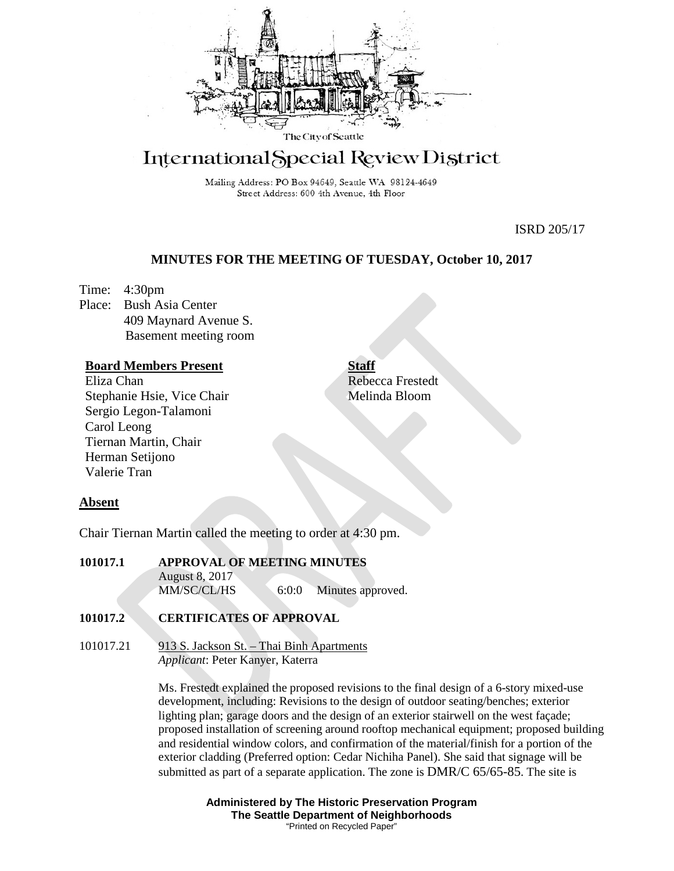

# International Special Review District

Mailing Address: PO Box 94649, Seattle WA 98124-4649 Street Address: 600 4th Avenue, 4th Floor

ISRD 205/17

# **MINUTES FOR THE MEETING OF TUESDAY, October 10, 2017**

Time: 4:30pm Place: Bush Asia Center 409 Maynard Avenue S. Basement meeting room

# **Board Members Present**

Eliza Chan Stephanie Hsie, Vice Chair Sergio Legon-Talamoni Carol Leong Tiernan Martin, Chair Herman Setijono Valerie Tran

# **Staff** Rebecca Frestedt Melinda Bloom

# **Absent**

Chair Tiernan Martin called the meeting to order at 4:30 pm.

**101017.1 APPROVAL OF MEETING MINUTES**  August 8, 2017 MM/SC/CL/HS 6:0:0 Minutes approved.

# **101017.2 CERTIFICATES OF APPROVAL**

101017.21 913 S. Jackson St. – Thai Binh Apartments *Applicant*: Peter Kanyer, Katerra

> Ms. Frestedt explained the proposed revisions to the final design of a 6-story mixed-use development, including: Revisions to the design of outdoor seating/benches; exterior lighting plan; garage doors and the design of an exterior stairwell on the west façade; proposed installation of screening around rooftop mechanical equipment; proposed building and residential window colors, and confirmation of the material/finish for a portion of the exterior cladding (Preferred option: Cedar Nichiha Panel). She said that signage will be submitted as part of a separate application. The zone is DMR/C 65/65-85. The site is

> > **Administered by The Historic Preservation Program The Seattle Department of Neighborhoods** "Printed on Recycled Paper"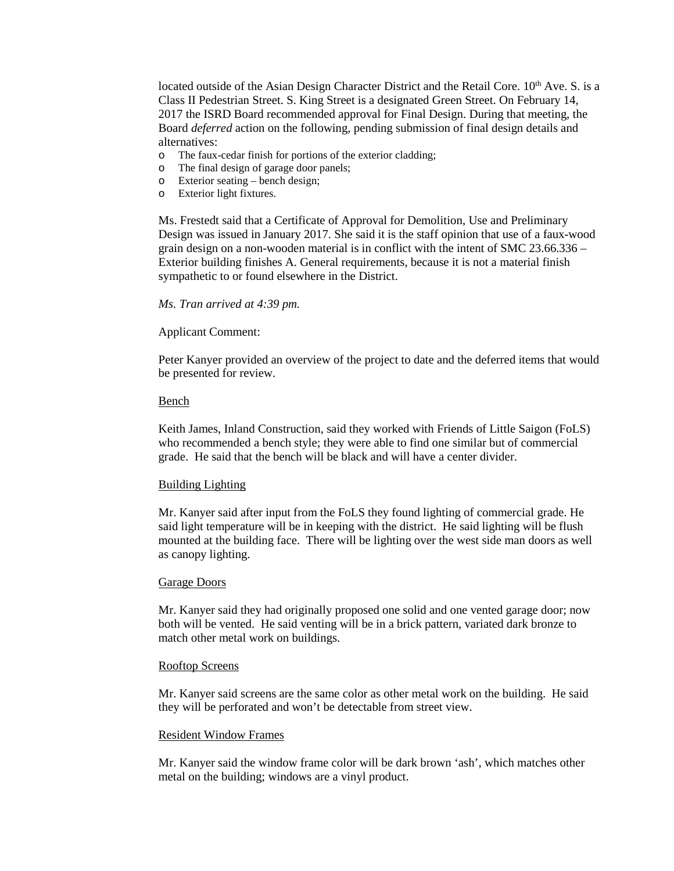located outside of the Asian Design Character District and the Retail Core.  $10<sup>th</sup>$  Ave. S. is a Class II Pedestrian Street. S. King Street is a designated Green Street. On February 14, 2017 the ISRD Board recommended approval for Final Design. During that meeting, the Board *deferred* action on the following, pending submission of final design details and alternatives:

- o The faux-cedar finish for portions of the exterior cladding;<br>  $\Omega$  The final design of garage door panels:
- The final design of garage door panels;
- o Exterior seating bench design;
- o Exterior light fixtures.

Ms. Frestedt said that a Certificate of Approval for Demolition, Use and Preliminary Design was issued in January 2017. She said it is the staff opinion that use of a faux-wood grain design on a non-wooden material is in conflict with the intent of SMC 23.66.336 – Exterior building finishes A. General requirements, because it is not a material finish sympathetic to or found elsewhere in the District.

#### *Ms. Tran arrived at 4:39 pm.*

#### Applicant Comment:

Peter Kanyer provided an overview of the project to date and the deferred items that would be presented for review.

#### Bench

Keith James, Inland Construction, said they worked with Friends of Little Saigon (FoLS) who recommended a bench style; they were able to find one similar but of commercial grade. He said that the bench will be black and will have a center divider.

## Building Lighting

Mr. Kanyer said after input from the FoLS they found lighting of commercial grade. He said light temperature will be in keeping with the district. He said lighting will be flush mounted at the building face. There will be lighting over the west side man doors as well as canopy lighting.

#### Garage Doors

Mr. Kanyer said they had originally proposed one solid and one vented garage door; now both will be vented. He said venting will be in a brick pattern, variated dark bronze to match other metal work on buildings.

# Rooftop Screens

Mr. Kanyer said screens are the same color as other metal work on the building. He said they will be perforated and won't be detectable from street view.

## Resident Window Frames

Mr. Kanyer said the window frame color will be dark brown 'ash', which matches other metal on the building; windows are a vinyl product.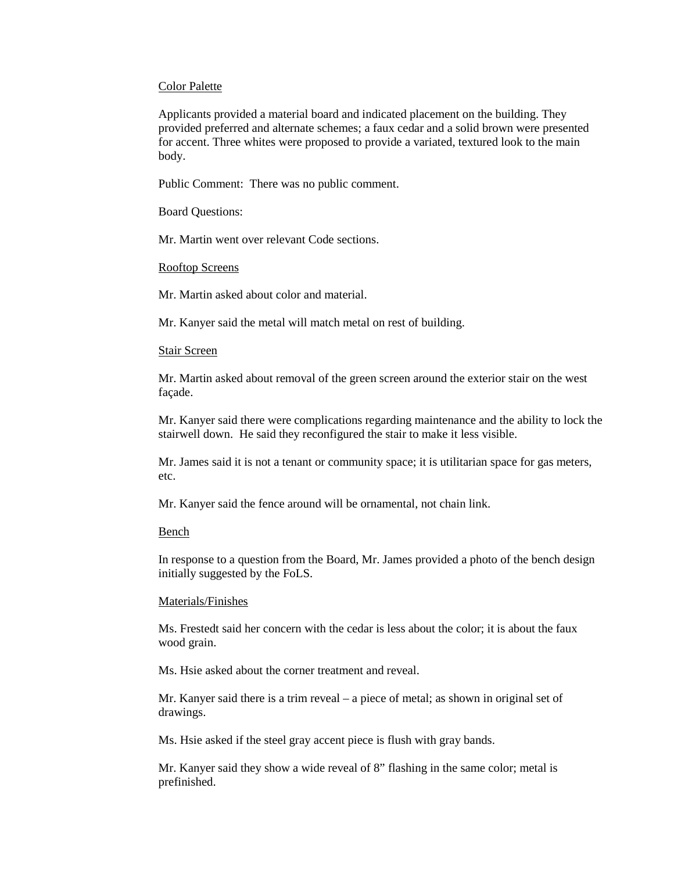#### Color Palette

Applicants provided a material board and indicated placement on the building. They provided preferred and alternate schemes; a faux cedar and a solid brown were presented for accent. Three whites were proposed to provide a variated, textured look to the main body.

Public Comment: There was no public comment.

Board Questions:

Mr. Martin went over relevant Code sections.

#### Rooftop Screens

Mr. Martin asked about color and material.

Mr. Kanyer said the metal will match metal on rest of building.

## Stair Screen

Mr. Martin asked about removal of the green screen around the exterior stair on the west façade.

Mr. Kanyer said there were complications regarding maintenance and the ability to lock the stairwell down. He said they reconfigured the stair to make it less visible.

Mr. James said it is not a tenant or community space; it is utilitarian space for gas meters, etc.

Mr. Kanyer said the fence around will be ornamental, not chain link.

#### Bench

In response to a question from the Board, Mr. James provided a photo of the bench design initially suggested by the FoLS.

#### Materials/Finishes

Ms. Frestedt said her concern with the cedar is less about the color; it is about the faux wood grain.

Ms. Hsie asked about the corner treatment and reveal.

Mr. Kanyer said there is a trim reveal – a piece of metal; as shown in original set of drawings.

Ms. Hsie asked if the steel gray accent piece is flush with gray bands.

Mr. Kanyer said they show a wide reveal of 8" flashing in the same color; metal is prefinished.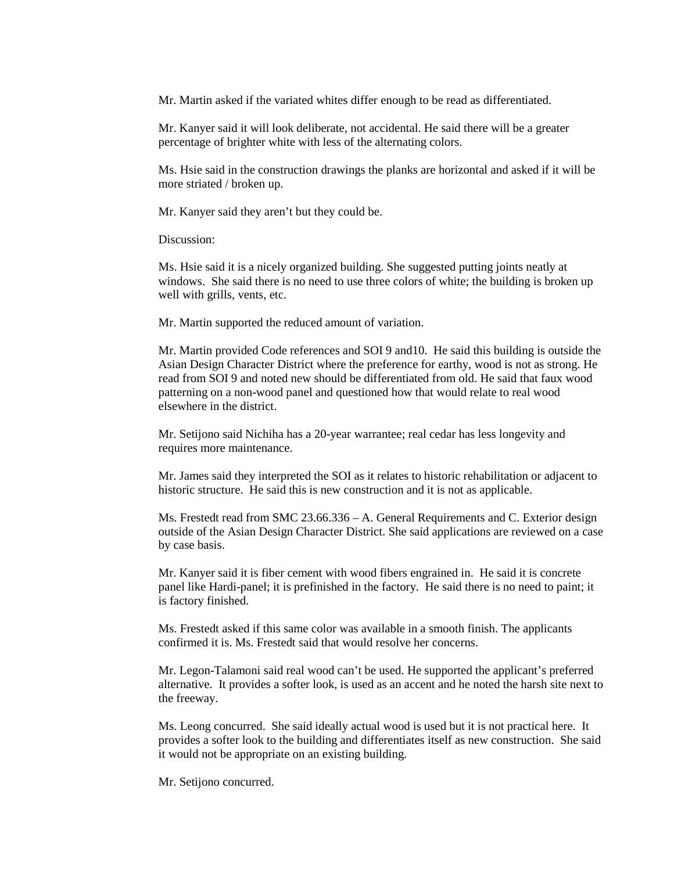Mr. Martin asked if the variated whites differ enough to be read as differentiated.

Mr. Kanyer said it will look deliberate, not accidental. He said there will be a greater percentage of brighter white with less of the alternating colors.

Ms. Hsie said in the construction drawings the planks are horizontal and asked if it will be more striated / broken up.

Mr. Kanyer said they aren't but they could be.

Discussion:

Ms. Hsie said it is a nicely organized building. She suggested putting joints neatly at windows. She said there is no need to use three colors of white; the building is broken up well with grills, vents, etc.

Mr. Martin supported the reduced amount of variation.

Mr. Martin provided Code references and SOI 9 and10. He said this building is outside the Asian Design Character District where the preference for earthy, wood is not as strong. He read from SOI 9 and noted new should be differentiated from old. He said that faux wood patterning on a non-wood panel and questioned how that would relate to real wood elsewhere in the district.

Mr. Setijono said Nichiha has a 20-year warrantee; real cedar has less longevity and requires more maintenance.

Mr. James said they interpreted the SOI as it relates to historic rehabilitation or adjacent to historic structure. He said this is new construction and it is not as applicable.

Ms. Frestedt read from SMC 23.66.336 – A. General Requirements and C. Exterior design outside of the Asian Design Character District. She said applications are reviewed on a case by case basis.

Mr. Kanyer said it is fiber cement with wood fibers engrained in. He said it is concrete panel like Hardi-panel; it is prefinished in the factory. He said there is no need to paint; it is factory finished.

Ms. Frestedt asked if this same color was available in a smooth finish. The applicants confirmed it is. Ms. Frestedt said that would resolve her concerns.

Mr. Legon-Talamoni said real wood can't be used. He supported the applicant's preferred alternative. It provides a softer look, is used as an accent and he noted the harsh site next to the freeway.

Ms. Leong concurred. She said ideally actual wood is used but it is not practical here. It provides a softer look to the building and differentiates itself as new construction. She said it would not be appropriate on an existing building.

Mr. Setijono concurred.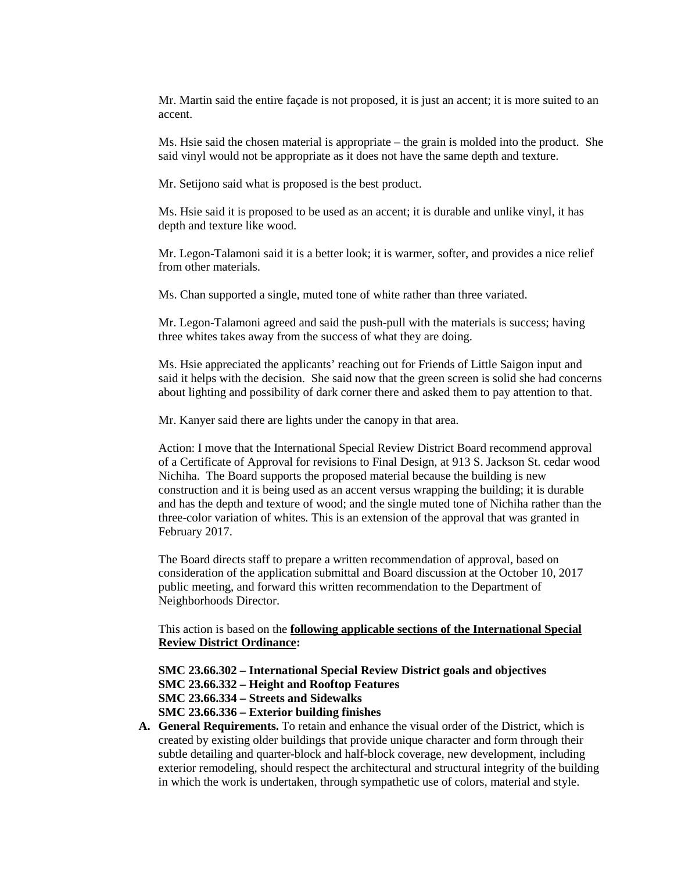Mr. Martin said the entire façade is not proposed, it is just an accent; it is more suited to an accent.

Ms. Hsie said the chosen material is appropriate – the grain is molded into the product. She said vinyl would not be appropriate as it does not have the same depth and texture.

Mr. Setijono said what is proposed is the best product.

Ms. Hsie said it is proposed to be used as an accent; it is durable and unlike vinyl, it has depth and texture like wood.

Mr. Legon-Talamoni said it is a better look; it is warmer, softer, and provides a nice relief from other materials.

Ms. Chan supported a single, muted tone of white rather than three variated.

Mr. Legon-Talamoni agreed and said the push-pull with the materials is success; having three whites takes away from the success of what they are doing.

Ms. Hsie appreciated the applicants' reaching out for Friends of Little Saigon input and said it helps with the decision. She said now that the green screen is solid she had concerns about lighting and possibility of dark corner there and asked them to pay attention to that.

Mr. Kanyer said there are lights under the canopy in that area.

Action: I move that the International Special Review District Board recommend approval of a Certificate of Approval for revisions to Final Design, at 913 S. Jackson St. cedar wood Nichiha. The Board supports the proposed material because the building is new construction and it is being used as an accent versus wrapping the building; it is durable and has the depth and texture of wood; and the single muted tone of Nichiha rather than the three-color variation of whites*.* This is an extension of the approval that was granted in February 2017.

The Board directs staff to prepare a written recommendation of approval, based on consideration of the application submittal and Board discussion at the October 10, 2017 public meeting, and forward this written recommendation to the Department of Neighborhoods Director.

This action is based on the **following applicable sections of the International Special Review District Ordinance:** 

**SMC 23.66.302 – International Special Review District goals and objectives**

**SMC 23.66.332 – Height and Rooftop Features**

**SMC 23.66.334 – Streets and Sidewalks**

**SMC 23.66.336 – Exterior building finishes**

**A. General Requirements.** To retain and enhance the visual order of the District, which is created by existing older buildings that provide unique character and form through their subtle detailing and quarter-block and half-block coverage, new development, including exterior remodeling, should respect the architectural and structural integrity of the building in which the work is undertaken, through sympathetic use of colors, material and style.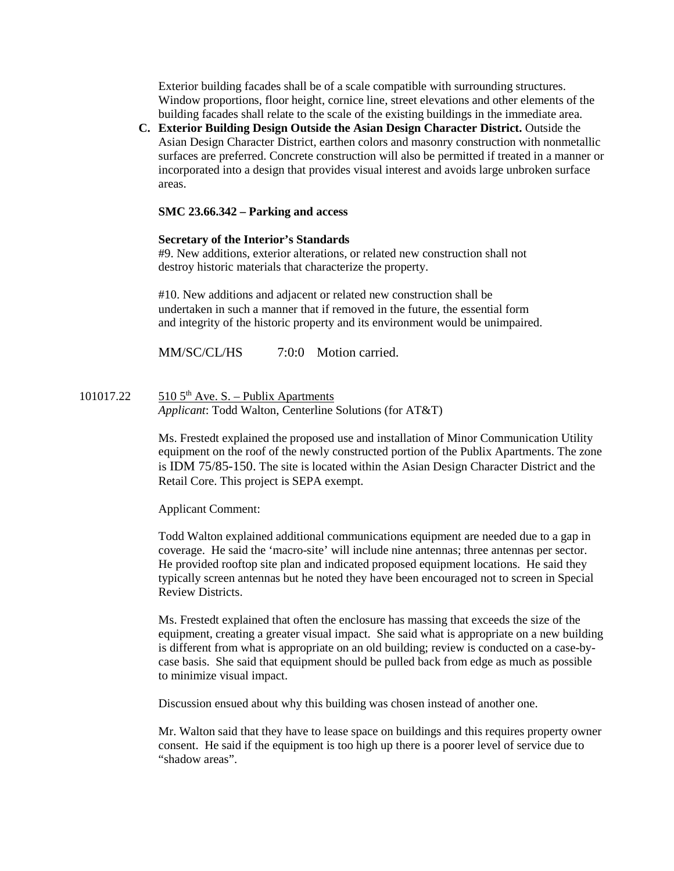Exterior building facades shall be of a scale compatible with surrounding structures. Window proportions, floor height, cornice line, street elevations and other elements of the building facades shall relate to the scale of the existing buildings in the immediate area.

**C. Exterior Building Design Outside the Asian Design Character District.** Outside the Asian Design Character District, earthen colors and masonry construction with nonmetallic surfaces are preferred. Concrete construction will also be permitted if treated in a manner or incorporated into a design that provides visual interest and avoids large unbroken surface areas.

## **SMC 23.66.342 – Parking and access**

# **Secretary of the Interior's Standards**

#9. New additions, exterior alterations, or related new construction shall not destroy historic materials that characterize the property.

#10. New additions and adjacent or related new construction shall be undertaken in such a manner that if removed in the future, the essential form and integrity of the historic property and its environment would be unimpaired.

MM/SC/CL/HS  $7:0:0$  Motion carried.

101017.22  $510\,5^{th}$  Ave. S. – Publix Apartments *Applicant*: Todd Walton, Centerline Solutions (for AT&T)

> Ms. Frestedt explained the proposed use and installation of Minor Communication Utility equipment on the roof of the newly constructed portion of the Publix Apartments. The zone is IDM 75/85-150. The site is located within the Asian Design Character District and the Retail Core. This project is SEPA exempt.

Applicant Comment:

Todd Walton explained additional communications equipment are needed due to a gap in coverage. He said the 'macro-site' will include nine antennas; three antennas per sector. He provided rooftop site plan and indicated proposed equipment locations. He said they typically screen antennas but he noted they have been encouraged not to screen in Special Review Districts.

Ms. Frestedt explained that often the enclosure has massing that exceeds the size of the equipment, creating a greater visual impact. She said what is appropriate on a new building is different from what is appropriate on an old building; review is conducted on a case-bycase basis. She said that equipment should be pulled back from edge as much as possible to minimize visual impact.

Discussion ensued about why this building was chosen instead of another one.

Mr. Walton said that they have to lease space on buildings and this requires property owner consent. He said if the equipment is too high up there is a poorer level of service due to "shadow areas".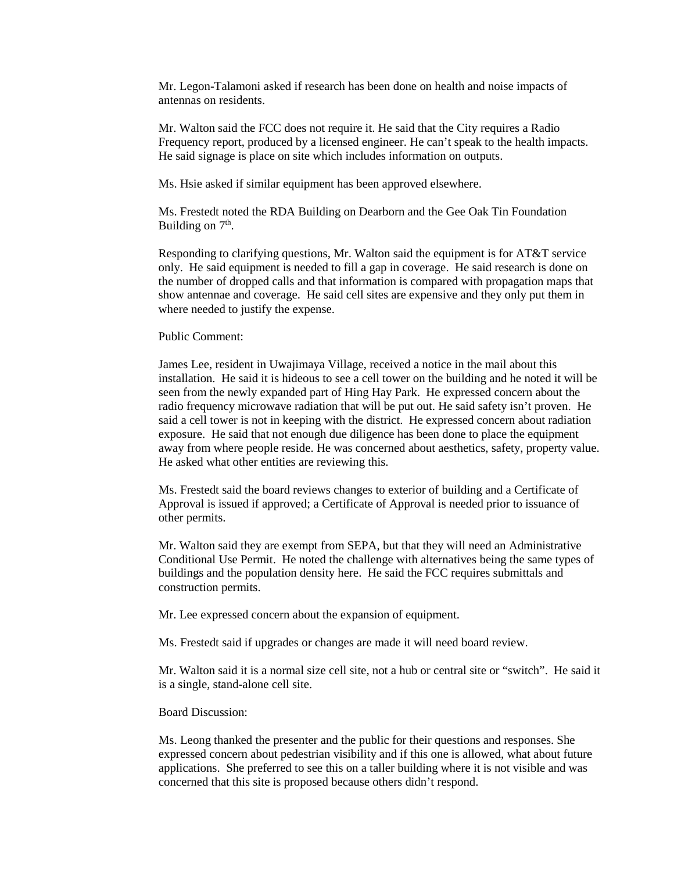Mr. Legon-Talamoni asked if research has been done on health and noise impacts of antennas on residents.

Mr. Walton said the FCC does not require it. He said that the City requires a Radio Frequency report, produced by a licensed engineer. He can't speak to the health impacts. He said signage is place on site which includes information on outputs.

Ms. Hsie asked if similar equipment has been approved elsewhere.

Ms. Frestedt noted the RDA Building on Dearborn and the Gee Oak Tin Foundation Building on  $7<sup>th</sup>$ .

Responding to clarifying questions, Mr. Walton said the equipment is for AT&T service only. He said equipment is needed to fill a gap in coverage. He said research is done on the number of dropped calls and that information is compared with propagation maps that show antennae and coverage. He said cell sites are expensive and they only put them in where needed to justify the expense.

Public Comment:

James Lee, resident in Uwajimaya Village, received a notice in the mail about this installation. He said it is hideous to see a cell tower on the building and he noted it will be seen from the newly expanded part of Hing Hay Park. He expressed concern about the radio frequency microwave radiation that will be put out. He said safety isn't proven. He said a cell tower is not in keeping with the district. He expressed concern about radiation exposure. He said that not enough due diligence has been done to place the equipment away from where people reside. He was concerned about aesthetics, safety, property value. He asked what other entities are reviewing this.

Ms. Frestedt said the board reviews changes to exterior of building and a Certificate of Approval is issued if approved; a Certificate of Approval is needed prior to issuance of other permits.

Mr. Walton said they are exempt from SEPA, but that they will need an Administrative Conditional Use Permit. He noted the challenge with alternatives being the same types of buildings and the population density here. He said the FCC requires submittals and construction permits.

Mr. Lee expressed concern about the expansion of equipment.

Ms. Frestedt said if upgrades or changes are made it will need board review.

Mr. Walton said it is a normal size cell site, not a hub or central site or "switch". He said it is a single, stand-alone cell site.

Board Discussion:

Ms. Leong thanked the presenter and the public for their questions and responses. She expressed concern about pedestrian visibility and if this one is allowed, what about future applications. She preferred to see this on a taller building where it is not visible and was concerned that this site is proposed because others didn't respond.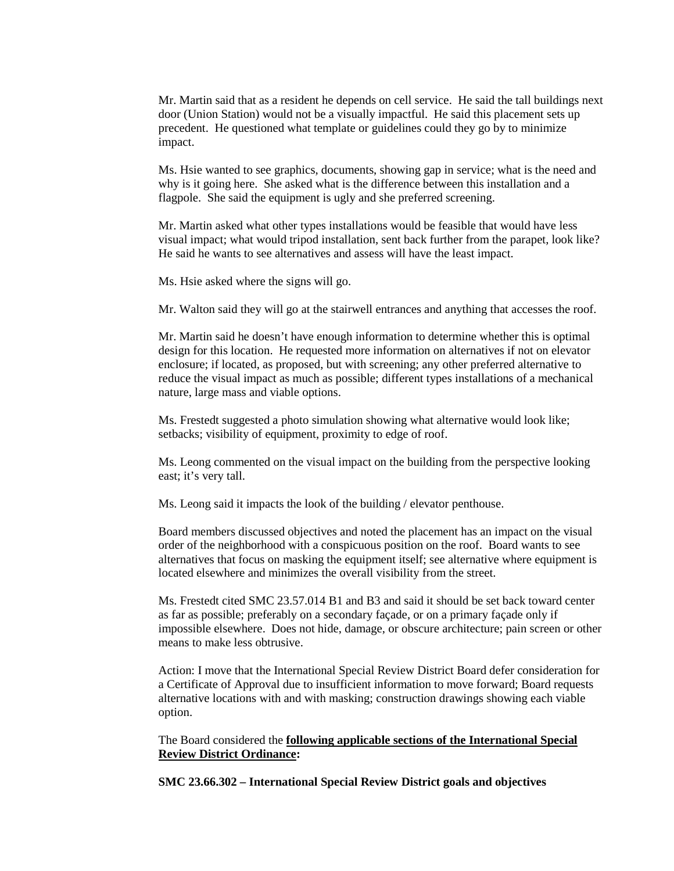Mr. Martin said that as a resident he depends on cell service. He said the tall buildings next door (Union Station) would not be a visually impactful. He said this placement sets up precedent. He questioned what template or guidelines could they go by to minimize impact.

Ms. Hsie wanted to see graphics, documents, showing gap in service; what is the need and why is it going here. She asked what is the difference between this installation and a flagpole. She said the equipment is ugly and she preferred screening.

Mr. Martin asked what other types installations would be feasible that would have less visual impact; what would tripod installation, sent back further from the parapet, look like? He said he wants to see alternatives and assess will have the least impact.

Ms. Hsie asked where the signs will go.

Mr. Walton said they will go at the stairwell entrances and anything that accesses the roof.

Mr. Martin said he doesn't have enough information to determine whether this is optimal design for this location. He requested more information on alternatives if not on elevator enclosure; if located, as proposed, but with screening; any other preferred alternative to reduce the visual impact as much as possible; different types installations of a mechanical nature, large mass and viable options.

Ms. Frestedt suggested a photo simulation showing what alternative would look like; setbacks; visibility of equipment, proximity to edge of roof.

Ms. Leong commented on the visual impact on the building from the perspective looking east; it's very tall.

Ms. Leong said it impacts the look of the building / elevator penthouse.

Board members discussed objectives and noted the placement has an impact on the visual order of the neighborhood with a conspicuous position on the roof. Board wants to see alternatives that focus on masking the equipment itself; see alternative where equipment is located elsewhere and minimizes the overall visibility from the street.

Ms. Frestedt cited SMC 23.57.014 B1 and B3 and said it should be set back toward center as far as possible; preferably on a secondary façade, or on a primary façade only if impossible elsewhere. Does not hide, damage, or obscure architecture; pain screen or other means to make less obtrusive.

Action: I move that the International Special Review District Board defer consideration for a Certificate of Approval due to insufficient information to move forward; Board requests alternative locations with and with masking; construction drawings showing each viable option.

# The Board considered the **following applicable sections of the International Special Review District Ordinance:**

**SMC 23.66.302 – International Special Review District goals and objectives**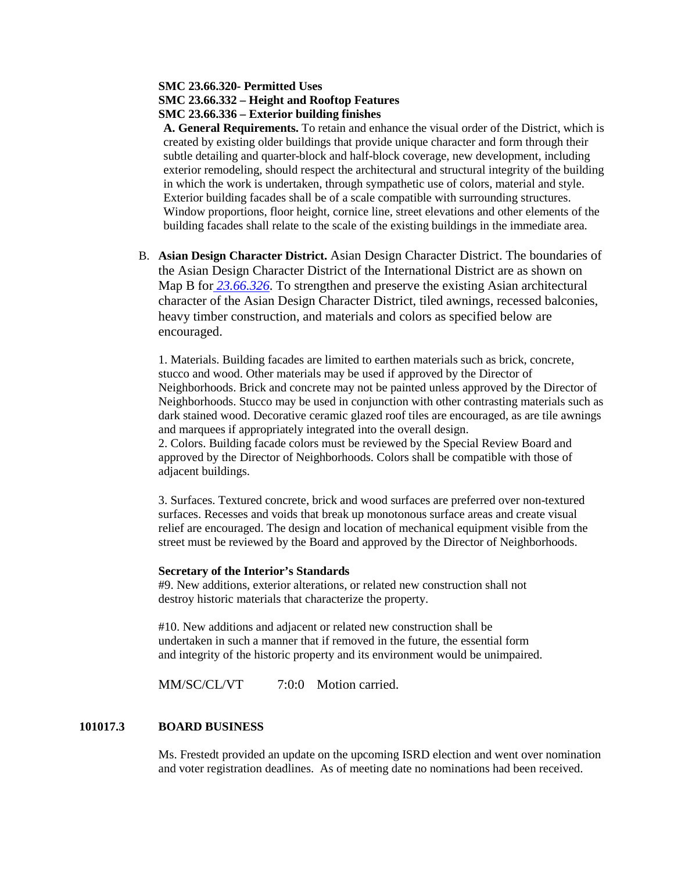# **SMC 23.66.320- Permitted Uses SMC 23.66.332 – Height and Rooftop Features SMC 23.66.336 – Exterior building finishes**

**A. General Requirements.** To retain and enhance the visual order of the District, which is created by existing older buildings that provide unique character and form through their subtle detailing and quarter-block and half-block coverage, new development, including exterior remodeling, should respect the architectural and structural integrity of the building in which the work is undertaken, through sympathetic use of colors, material and style. Exterior building facades shall be of a scale compatible with surrounding structures. Window proportions, floor height, cornice line, street elevations and other elements of the building facades shall relate to the scale of the existing buildings in the immediate area.

B. **Asian Design Character District.** Asian Design Character District. The boundaries of the Asian Design Character District of the International District are as shown on Map B for *[23.66.326](https://library.municode.com/wa/seattle/codes/municipal_code?nodeId=TIT23LAUSCO_SUBTITLE_IIILAUSRE_CH23.66SPREDI_SUBCHAPTER_IIIINSPREDI_23.66.326STVEUS)*. To strengthen and preserve the existing Asian architectural character of the Asian Design Character District, tiled awnings, recessed balconies, heavy timber construction, and materials and colors as specified below are encouraged.

1. Materials. Building facades are limited to earthen materials such as brick, concrete, stucco and wood. Other materials may be used if approved by the Director of Neighborhoods. Brick and concrete may not be painted unless approved by the Director of Neighborhoods. Stucco may be used in conjunction with other contrasting materials such as dark stained wood. Decorative ceramic glazed roof tiles are encouraged, as are tile awnings and marquees if appropriately integrated into the overall design.

2. Colors. Building facade colors must be reviewed by the Special Review Board and approved by the Director of Neighborhoods. Colors shall be compatible with those of adjacent buildings.

3. Surfaces. Textured concrete, brick and wood surfaces are preferred over non-textured surfaces. Recesses and voids that break up monotonous surface areas and create visual relief are encouraged. The design and location of mechanical equipment visible from the street must be reviewed by the Board and approved by the Director of Neighborhoods.

## **Secretary of the Interior's Standards**

#9. New additions, exterior alterations, or related new construction shall not destroy historic materials that characterize the property.

#10. New additions and adjacent or related new construction shall be undertaken in such a manner that if removed in the future, the essential form and integrity of the historic property and its environment would be unimpaired.

MM/SC/CL/VT 7:0:0 Motion carried.

# **101017.3 BOARD BUSINESS**

Ms. Frestedt provided an update on the upcoming ISRD election and went over nomination and voter registration deadlines. As of meeting date no nominations had been received.